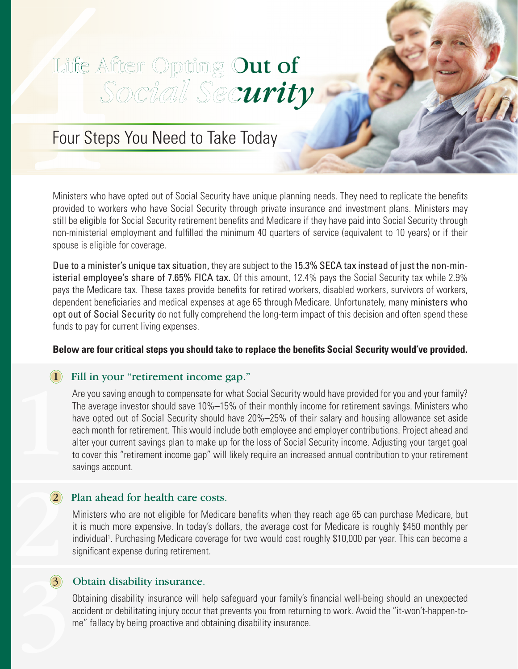# Lilie AV<br>
Four Step<br>
Ministers who h<br>
provided to wor Life After Opting Out of  *Social Security Social Security*

#### Four Steps You Need to Take Today

Ministers who have opted out of Social Security have unique planning needs. They need to replicate the benefits provided to workers who have Social Security through private insurance and investment plans. Ministers may still be eligible for Social Security retirement benefits and Medicare if they have paid into Social Security through non-ministerial employment and fulfilled the minimum 40 quarters of service (equivalent to 10 years) or if their spouse is eligible for coverage.

Due to a minister's unique tax situation, they are subject to the 15.3% SECA tax instead of just the non-ministerial employee's share of 7.65% FICA tax. Of this amount, 12.4% pays the Social Security tax while 2.9% pays the Medicare tax. These taxes provide benefits for retired workers, disabled workers, survivors of workers, dependent beneficiaries and medical expenses at age 65 through Medicare. Unfortunately, many ministers who opt out of Social Security do not fully comprehend the long-term impact of this decision and often spend these funds to pay for current living expenses.

#### Below are four critical steps you should take to replace the benefits Social Security would've provided.

## 1 Fill in your "retirement income gap."

Are you saving enough to compensate for what Social Security would have provided for you and your family? The average investor should save 10%–15% of their monthly income for retirement savings. Ministers who have opted out of Social Security should have 20%–25% of their salary and housing allowance set aside each month for retirement. This would include both employee and employer contributions. Project ahead and alter your current savings plan to make up for the loss of Social Security income. Adjusting your target goal to cover this "retirement income gap" will likely require an increased annual contribution to your retirement savings account.

### 2 Plan ahead for health care costs.

Ministers who are not eligible for Medicare benefits when they reach age 65 can purchase Medicare, but it is much more expensive. In today's dollars, the average cost for Medicare is roughly \$450 monthly per individual<sup>1</sup>. Purchasing Medicare coverage for two would cost roughly \$10,000 per year. This can become a significant expense during retirement.

### 3 3 Obtain disability insurance.

Obtaining disability insurance will help safeguard your family's financial well-being should an unexpected accident or debilitating injury occur that prevents you from returning to work. Avoid the "it-won't-happen-tome" fallacy by being proactive and obtaining disability insurance.